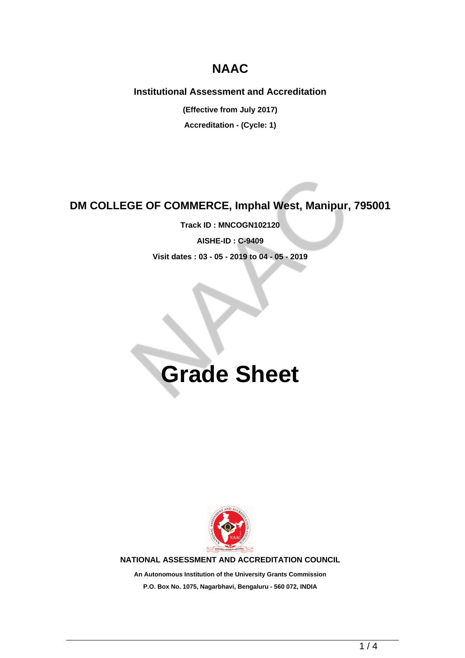## **NAAC**

### **Institutional Assessment and Accreditation**

**(Effective from July 2017)**

**Accreditation - (Cycle: 1)**

## **DM COLLEGE OF COMMERCE, Imphal West, Manipur, 795001**

**Track ID : MNCOGN102120 AISHE-ID : C-9409 Visit dates : 03 - 05 - 2019 to 04 - 05 - 2019**

# **Grade Sheet**



**NATIONAL ASSESSMENT AND ACCREDITATION COUNCIL**

**An Autonomous Institution of the University Grants Commission P.O. Box No. 1075, Nagarbhavi, Bengaluru - 560 072, INDIA**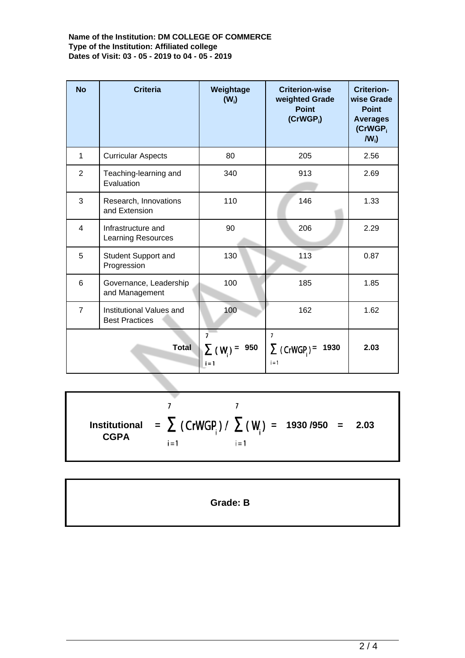### **Name of the Institution: DM COLLEGE OF COMMERCE Type of the Institution: Affiliated college Dates of Visit: 03 - 05 - 2019 to 04 - 05 - 2019**

| <b>No</b>      | <b>Criteria</b>                                   | Weightage<br>$(W_i)$                             | <b>Criterion-wise</b><br>weighted Grade<br><b>Point</b><br>$(CrWGP_i)$ | <b>Criterion-</b><br>wise Grade<br><b>Point</b><br><b>Averages</b><br>(CrWGP <sub>i</sub><br>$IW_i$ |
|----------------|---------------------------------------------------|--------------------------------------------------|------------------------------------------------------------------------|-----------------------------------------------------------------------------------------------------|
| $\mathbf{1}$   | <b>Curricular Aspects</b>                         | 80                                               | 205                                                                    | 2.56                                                                                                |
| $\overline{2}$ | Teaching-learning and<br>Evaluation               | 340                                              | 913                                                                    | 2.69                                                                                                |
| 3              | Research, Innovations<br>and Extension            | 110                                              | 146                                                                    | 1.33                                                                                                |
| $\overline{4}$ | Infrastructure and<br><b>Learning Resources</b>   | 90                                               | 206                                                                    | 2.29                                                                                                |
| 5              | Student Support and<br>Progression                | 130                                              | 113                                                                    | 0.87                                                                                                |
| 6              | Governance, Leadership<br>and Management          | 100                                              | 185                                                                    | 1.85                                                                                                |
| $\overline{7}$ | Institutional Values and<br><b>Best Practices</b> | 100                                              | 162                                                                    | 1.62                                                                                                |
| <b>Total</b>   |                                                   | $\overline{7}$<br>950<br>$\Sigma$ (W)<br>$i = 1$ | $\overline{7}$<br>$\sum$ (CrWGP) =<br>1930<br>$i = 1$                  | 2.03                                                                                                |

 $\overline{7}$  $\overline{7}$ **Institutional = = 1930 /950 = 2.03 CGPA**  $i = 1$  $i = 1$ 

**Grade: B**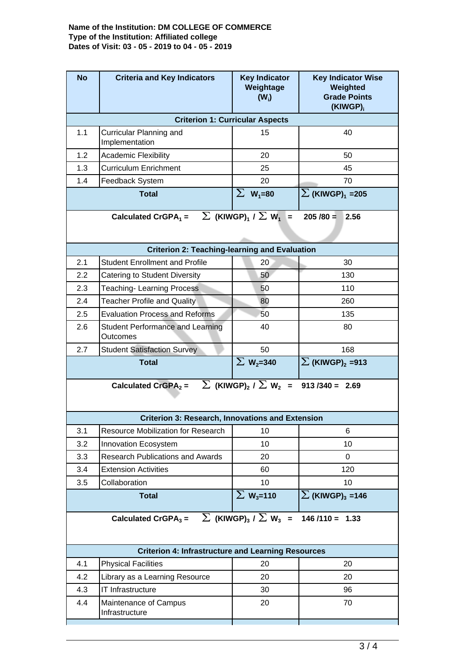#### **Name of the Institution: DM COLLEGE OF COMMERCE Type of the Institution: Affiliated college Dates of Visit: 03 - 05 - 2019 to 04 - 05 - 2019**

| <b>Criterion 1: Curricular Aspects</b><br>1.1<br>40<br>Curricular Planning and<br>15<br>Implementation<br>1.2<br><b>Academic Flexibility</b><br>20<br>50<br>1.3<br><b>Curriculum Enrichment</b><br>45<br>25<br>1.4<br>20<br>70<br>Feedback System<br>$\Sigma$ W <sub>1</sub> =80<br>$\Sigma$ (KIWGP) <sub>1</sub> = 205<br><b>Total</b> |  |  |  |  |  |  |  |
|-----------------------------------------------------------------------------------------------------------------------------------------------------------------------------------------------------------------------------------------------------------------------------------------------------------------------------------------|--|--|--|--|--|--|--|
|                                                                                                                                                                                                                                                                                                                                         |  |  |  |  |  |  |  |
|                                                                                                                                                                                                                                                                                                                                         |  |  |  |  |  |  |  |
|                                                                                                                                                                                                                                                                                                                                         |  |  |  |  |  |  |  |
|                                                                                                                                                                                                                                                                                                                                         |  |  |  |  |  |  |  |
|                                                                                                                                                                                                                                                                                                                                         |  |  |  |  |  |  |  |
|                                                                                                                                                                                                                                                                                                                                         |  |  |  |  |  |  |  |
| $\sum$ (KIWGP) <sub>1</sub> / $\sum$ W <sub>1</sub> =<br>Calculated CrGPA <sub>1</sub> =<br>$205/80 = 2.56$                                                                                                                                                                                                                             |  |  |  |  |  |  |  |
| <b>Criterion 2: Teaching-learning and Evaluation</b>                                                                                                                                                                                                                                                                                    |  |  |  |  |  |  |  |
| 2.1<br><b>Student Enrollment and Profile</b><br>30<br>20                                                                                                                                                                                                                                                                                |  |  |  |  |  |  |  |
| 2.2<br>50<br>130<br>Catering to Student Diversity                                                                                                                                                                                                                                                                                       |  |  |  |  |  |  |  |
| 2.3<br><b>Teaching-Learning Process</b><br>110<br>50                                                                                                                                                                                                                                                                                    |  |  |  |  |  |  |  |
| 2.4<br><b>Teacher Profile and Quality</b><br>80<br>260                                                                                                                                                                                                                                                                                  |  |  |  |  |  |  |  |
| 2.5<br><b>Evaluation Process and Reforms</b><br>50<br>135                                                                                                                                                                                                                                                                               |  |  |  |  |  |  |  |
| 2.6<br>40<br>80<br><b>Student Performance and Learning</b><br><b>Outcomes</b>                                                                                                                                                                                                                                                           |  |  |  |  |  |  |  |
| 2.7<br>50<br>168<br><b>Student Satisfaction Survey</b>                                                                                                                                                                                                                                                                                  |  |  |  |  |  |  |  |
| $\Sigma$ W <sub>2</sub> =340<br>$\sum$ (KIWGP) <sub>2</sub> = 913<br><b>Total</b>                                                                                                                                                                                                                                                       |  |  |  |  |  |  |  |
| Calculated CrGPA <sub>2</sub> = $\sum$ (KIWGP) <sub>2</sub> / $\sum$ W <sub>2</sub> = 913 /340 = 2.69                                                                                                                                                                                                                                   |  |  |  |  |  |  |  |
| <b>Criterion 3: Research, Innovations and Extension</b>                                                                                                                                                                                                                                                                                 |  |  |  |  |  |  |  |
| 3.1<br>Resource Mobilization for Research<br>10<br>6                                                                                                                                                                                                                                                                                    |  |  |  |  |  |  |  |
| 3.2<br>10<br>Innovation Ecosystem<br>10                                                                                                                                                                                                                                                                                                 |  |  |  |  |  |  |  |
| <b>Research Publications and Awards</b><br>3.3<br>20<br>0                                                                                                                                                                                                                                                                               |  |  |  |  |  |  |  |
| 120<br>3.4<br><b>Extension Activities</b><br>60                                                                                                                                                                                                                                                                                         |  |  |  |  |  |  |  |
| 3.5<br>Collaboration<br>10 <sup>1</sup><br>10 <sup>1</sup>                                                                                                                                                                                                                                                                              |  |  |  |  |  |  |  |
| $\Sigma$ W <sub>3</sub> =110<br>$\sum$ (KIWGP) <sub>3</sub> =146<br><b>Total</b>                                                                                                                                                                                                                                                        |  |  |  |  |  |  |  |
| Calculated CrGPA <sub>3</sub> = $\sum$ (KIWGP) <sub>3</sub> / $\sum$ W <sub>3</sub> =<br>$146/110 = 1.33$                                                                                                                                                                                                                               |  |  |  |  |  |  |  |
| <b>Criterion 4: Infrastructure and Learning Resources</b>                                                                                                                                                                                                                                                                               |  |  |  |  |  |  |  |
| 4.1<br><b>Physical Facilities</b><br>20<br>20                                                                                                                                                                                                                                                                                           |  |  |  |  |  |  |  |
| 4.2<br>Library as a Learning Resource<br>20<br>20                                                                                                                                                                                                                                                                                       |  |  |  |  |  |  |  |
| 4.3<br>IT Infrastructure<br>96<br>30                                                                                                                                                                                                                                                                                                    |  |  |  |  |  |  |  |
| 4.4<br>Maintenance of Campus<br>20<br>70<br>Infrastructure                                                                                                                                                                                                                                                                              |  |  |  |  |  |  |  |